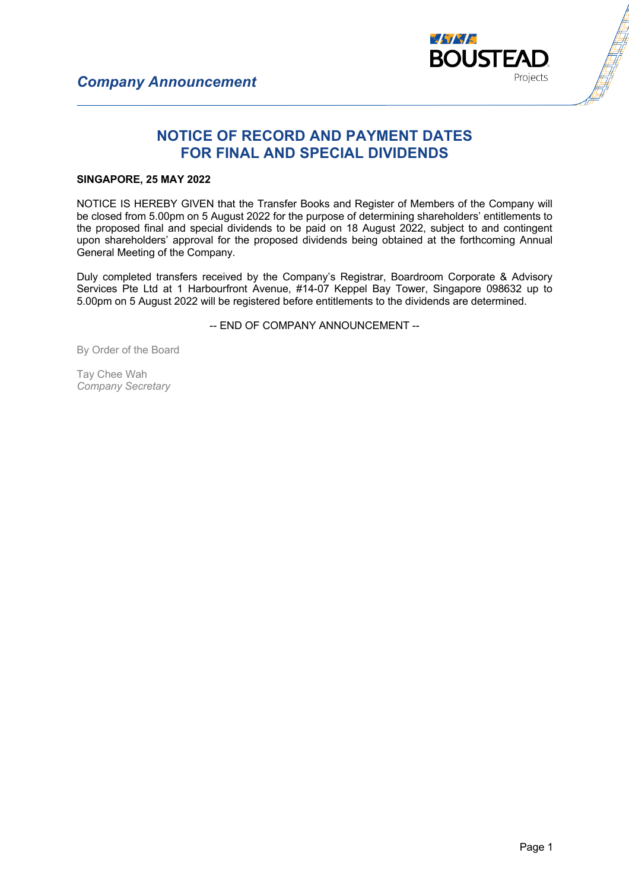

## **NOTICE OF RECORD AND PAYMENT DATES FOR FINAL AND SPECIAL DIVIDENDS**

## **SINGAPORE, 25 MAY 2022**

NOTICE IS HEREBY GIVEN that the Transfer Books and Register of Members of the Company will be closed from 5.00pm on 5 August 2022 for the purpose of determining shareholders' entitlements to the proposed final and special dividends to be paid on 18 August 2022, subject to and contingent upon shareholders' approval for the proposed dividends being obtained at the forthcoming Annual General Meeting of the Company.

Duly completed transfers received by the Company's Registrar, Boardroom Corporate & Advisory Services Pte Ltd at 1 Harbourfront Avenue, #14-07 Keppel Bay Tower, Singapore 098632 up to 5.00pm on 5 August 2022 will be registered before entitlements to the dividends are determined.

-- END OF COMPANY ANNOUNCEMENT --

By Order of the Board

Tay Chee Wah *Company Secretary*